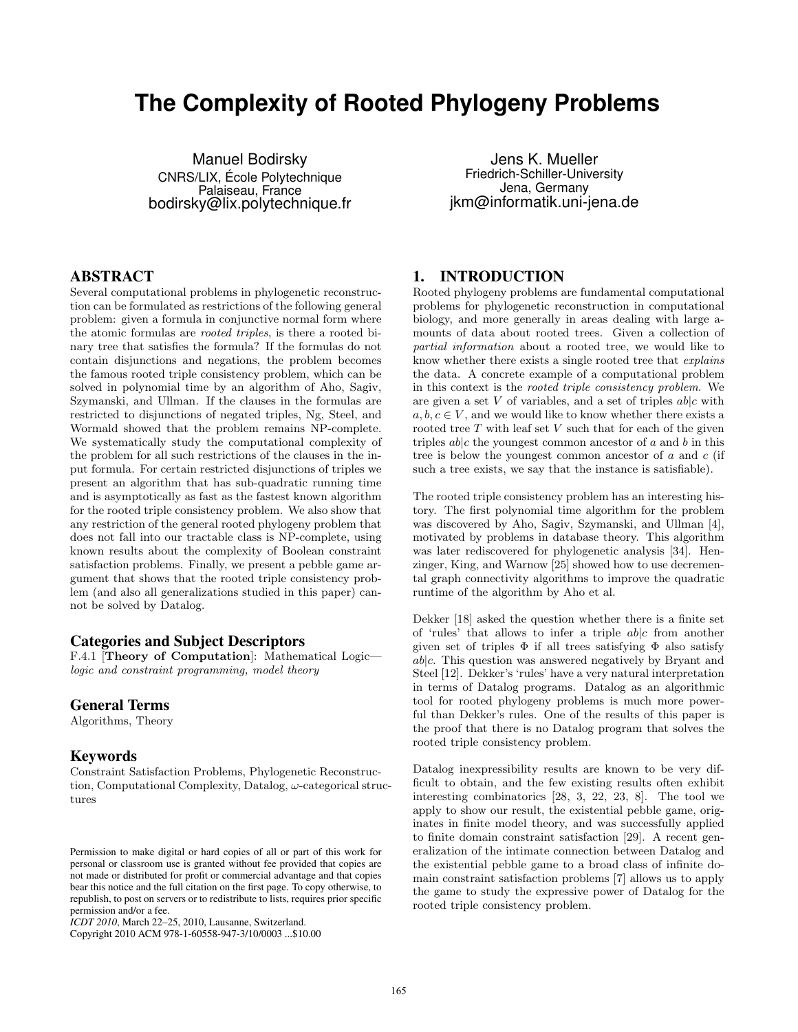# **The Complexity of Rooted Phylogeny Problems**

Manuel Bodirsky CNRS/LIX, École Polytechnique Palaiseau, France bodirsky@lix.polytechnique.fr

ABSTRACT

Several computational problems in phylogenetic reconstruction can be formulated as restrictions of the following general problem: given a formula in conjunctive normal form where the atomic formulas are rooted triples, is there a rooted binary tree that satisfies the formula? If the formulas do not contain disjunctions and negations, the problem becomes the famous rooted triple consistency problem, which can be solved in polynomial time by an algorithm of Aho, Sagiv, Szymanski, and Ullman. If the clauses in the formulas are restricted to disjunctions of negated triples, Ng, Steel, and Wormald showed that the problem remains NP-complete. We systematically study the computational complexity of the problem for all such restrictions of the clauses in the input formula. For certain restricted disjunctions of triples we present an algorithm that has sub-quadratic running time and is asymptotically as fast as the fastest known algorithm for the rooted triple consistency problem. We also show that any restriction of the general rooted phylogeny problem that does not fall into our tractable class is NP-complete, using known results about the complexity of Boolean constraint satisfaction problems. Finally, we present a pebble game argument that shows that the rooted triple consistency problem (and also all generalizations studied in this paper) cannot be solved by Datalog.

## Categories and Subject Descriptors

F.4.1 [Theory of Computation]: Mathematical Logic logic and constraint programming, model theory

## General Terms

Algorithms, Theory

## Keywords

Constraint Satisfaction Problems, Phylogenetic Reconstruction, Computational Complexity, Datalog, ω-categorical structures

Copyright 2010 ACM 978-1-60558-947-3/10/0003 ...\$10.00

Jens K. Mueller Friedrich-Schiller-University Jena, Germany jkm@informatik.uni-jena.de

## 1. INTRODUCTION

Rooted phylogeny problems are fundamental computational problems for phylogenetic reconstruction in computational biology, and more generally in areas dealing with large amounts of data about rooted trees. Given a collection of partial information about a rooted tree, we would like to know whether there exists a single rooted tree that explains the data. A concrete example of a computational problem in this context is the rooted triple consistency problem. We are given a set V of variables, and a set of triples  $ab|c$  with  $a, b, c \in V$ , and we would like to know whether there exists a rooted tree  $T$  with leaf set  $V$  such that for each of the given triples  $ab|c$  the youngest common ancestor of a and b in this tree is below the youngest common ancestor of  $a$  and  $c$  (if such a tree exists, we say that the instance is satisfiable).

The rooted triple consistency problem has an interesting history. The first polynomial time algorithm for the problem was discovered by Aho, Sagiv, Szymanski, and Ullman [4], motivated by problems in database theory. This algorithm was later rediscovered for phylogenetic analysis [34]. Henzinger, King, and Warnow [25] showed how to use decremental graph connectivity algorithms to improve the quadratic runtime of the algorithm by Aho et al.

Dekker [18] asked the question whether there is a finite set of 'rules' that allows to infer a triple ab|c from another given set of triples  $\Phi$  if all trees satisfying  $\Phi$  also satisfy  $ab|c$ . This question was answered negatively by Bryant and Steel [12]. Dekker's 'rules' have a very natural interpretation in terms of Datalog programs. Datalog as an algorithmic tool for rooted phylogeny problems is much more powerful than Dekker's rules. One of the results of this paper is the proof that there is no Datalog program that solves the rooted triple consistency problem.

Datalog inexpressibility results are known to be very difficult to obtain, and the few existing results often exhibit interesting combinatorics [28, 3, 22, 23, 8]. The tool we apply to show our result, the existential pebble game, originates in finite model theory, and was successfully applied to finite domain constraint satisfaction [29]. A recent generalization of the intimate connection between Datalog and the existential pebble game to a broad class of infinite domain constraint satisfaction problems [7] allows us to apply the game to study the expressive power of Datalog for the rooted triple consistency problem.

Permission to make digital or hard copies of all or part of this work for personal or classroom use is granted without fee provided that copies are not made or distributed for profit or commercial advantage and that copies bear this notice and the full citation on the first page. To copy otherwise, to republish, to post on servers or to redistribute to lists, requires prior specific permission and/or a fee.

*ICDT 2010*, March 22–25, 2010, Lausanne, Switzerland.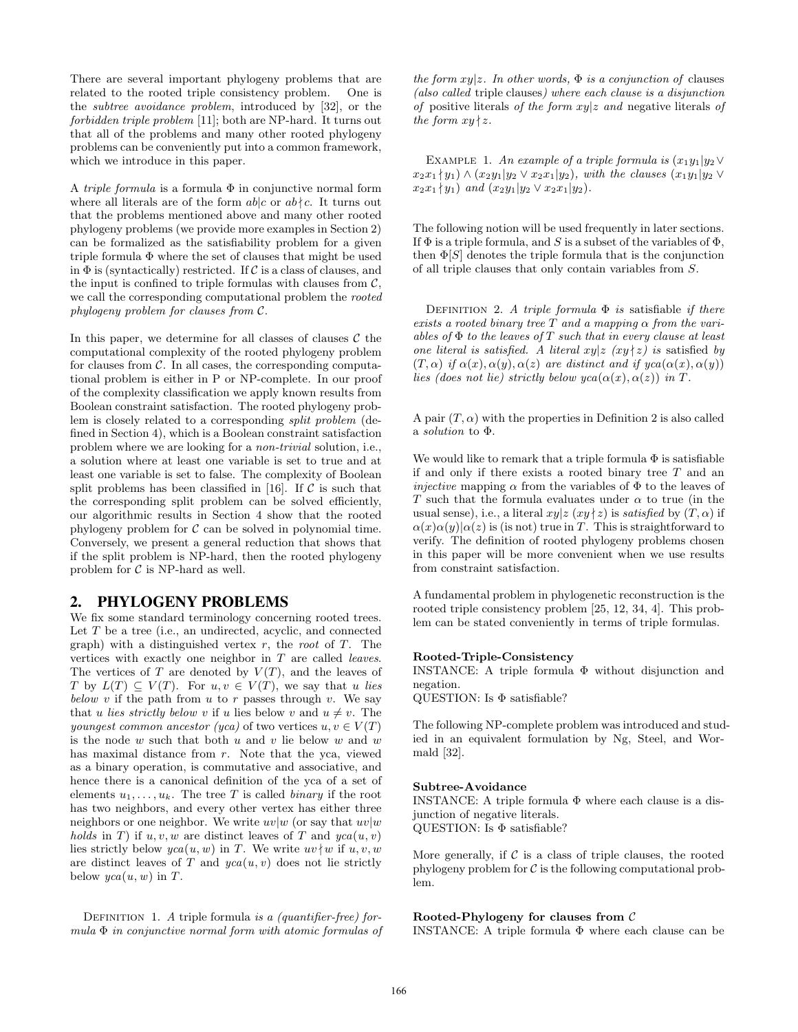There are several important phylogeny problems that are related to the rooted triple consistency problem. One is the subtree avoidance problem, introduced by [32], or the forbidden triple problem [11]; both are NP-hard. It turns out that all of the problems and many other rooted phylogeny problems can be conveniently put into a common framework, which we introduce in this paper.

A *triple formula* is a formula  $\Phi$  in conjunctive normal form where all literals are of the form  $ab|c$  or  $ab \nmid c$ . It turns out that the problems mentioned above and many other rooted phylogeny problems (we provide more examples in Section 2) can be formalized as the satisfiability problem for a given triple formula Φ where the set of clauses that might be used in  $\Phi$  is (syntactically) restricted. If C is a class of clauses, and the input is confined to triple formulas with clauses from  $C$ , we call the corresponding computational problem the rooted phylogeny problem for clauses from C.

In this paper, we determine for all classes of clauses  $\mathcal C$  the computational complexity of the rooted phylogeny problem for clauses from  $C$ . In all cases, the corresponding computational problem is either in P or NP-complete. In our proof of the complexity classification we apply known results from Boolean constraint satisfaction. The rooted phylogeny problem is closely related to a corresponding split problem (defined in Section 4), which is a Boolean constraint satisfaction problem where we are looking for a non-trivial solution, i.e., a solution where at least one variable is set to true and at least one variable is set to false. The complexity of Boolean split problems has been classified in [16]. If  $\mathcal C$  is such that the corresponding split problem can be solved efficiently, our algorithmic results in Section 4 show that the rooted phylogeny problem for  $\mathcal C$  can be solved in polynomial time. Conversely, we present a general reduction that shows that if the split problem is NP-hard, then the rooted phylogeny problem for  $C$  is NP-hard as well.

## 2. PHYLOGENY PROBLEMS

We fix some standard terminology concerning rooted trees. Let  $T$  be a tree (i.e., an undirected, acyclic, and connected graph) with a distinguished vertex  $r$ , the root of  $T$ . The vertices with exactly one neighbor in  $T$  are called *leaves*. The vertices of  $T$  are denoted by  $V(T)$ , and the leaves of T by  $L(T) \subseteq V(T)$ . For  $u, v \in V(T)$ , we say that u lies below v if the path from  $u$  to  $r$  passes through  $v$ . We say that u lies strictly below v if u lies below v and  $u \neq v$ . The youngest common ancestor (yca) of two vertices  $u, v \in V(T)$ is the node  $w$  such that both  $u$  and  $v$  lie below  $w$  and  $w$ has maximal distance from r. Note that the yca, viewed as a binary operation, is commutative and associative, and hence there is a canonical definition of the yca of a set of elements  $u_1, \ldots, u_k$ . The tree T is called *binary* if the root has two neighbors, and every other vertex has either three neighbors or one neighbor. We write  $uv|w$  (or say that  $uv|w$ holds in T) if  $u, v, w$  are distinct leaves of T and  $yca(u, v)$ lies strictly below  $yca(u, w)$  in T. We write  $uv \nmid w$  if  $u, v, w$ are distinct leaves of T and  $yca(u, v)$  does not lie strictly below  $yca(u, w)$  in T.

DEFINITION 1. A triple formula is a (quantifier-free) formula  $\Phi$  in conjunctive normal form with atomic formulas of the form  $xy|z$ . In other words,  $\Phi$  is a conjunction of clauses (also called triple clauses) where each clause is a disjunction of positive literals of the form  $xy|z$  and negative literals of the form  $xy \nmid z$ .

EXAMPLE 1. An example of a triple formula is  $(x_1y_1|y_2 \vee$  $x_2x_1 \nmid y_1 \rangle \wedge (x_2y_1|y_2 \vee x_2x_1|y_2),$  with the clauses  $(x_1y_1|y_2 \vee y_1)$  $x_2x_1 \nmid y_1$  and  $(x_2y_1|y_2 \vee x_2x_1|y_2)$ .

The following notion will be used frequently in later sections. If  $\Phi$  is a triple formula, and S is a subset of the variables of  $\Phi$ . then  $\Phi[S]$  denotes the triple formula that is the conjunction of all triple clauses that only contain variables from S.

DEFINITION 2. A triple formula  $\Phi$  is satisfiable if there exists a rooted binary tree  $T$  and a mapping  $\alpha$  from the variables of  $\Phi$  to the leaves of T such that in every clause at least one literal is satisfied. A literal  $xy|z(y|\gamma z)$  is satisfied by  $(T, \alpha)$  if  $\alpha(x), \alpha(y), \alpha(z)$  are distinct and if  $yca(\alpha(x), \alpha(y))$ lies (does not lie) strictly below  $yca(\alpha(x), \alpha(z))$  in T.

A pair  $(T, \alpha)$  with the properties in Definition 2 is also called a solution to Φ.

We would like to remark that a triple formula  $\Phi$  is satisfiable if and only if there exists a rooted binary tree T and an *injective* mapping  $\alpha$  from the variables of  $\Phi$  to the leaves of T such that the formula evaluates under  $\alpha$  to true (in the usual sense), i.e., a literal  $xy|z(xy \nmid z)$  is satisfied by  $(T, \alpha)$  if  $\alpha(x)\alpha(y)|\alpha(z)$  is (is not) true in T. This is straightforward to verify. The definition of rooted phylogeny problems chosen in this paper will be more convenient when we use results from constraint satisfaction.

A fundamental problem in phylogenetic reconstruction is the rooted triple consistency problem [25, 12, 34, 4]. This problem can be stated conveniently in terms of triple formulas.

#### Rooted-Triple-Consistency

INSTANCE: A triple formula Φ without disjunction and negation.

QUESTION: Is  $\Phi$  satisfiable?

The following NP-complete problem was introduced and studied in an equivalent formulation by Ng, Steel, and Wormald [32].

#### Subtree-Avoidance

INSTANCE: A triple formula  $\Phi$  where each clause is a disjunction of negative literals. QUESTION: Is  $\Phi$  satisfiable?

More generally, if  $\mathcal C$  is a class of triple clauses, the rooted phylogeny problem for  $\mathcal C$  is the following computational problem.

## Rooted-Phylogeny for clauses from C

INSTANCE: A triple formula Φ where each clause can be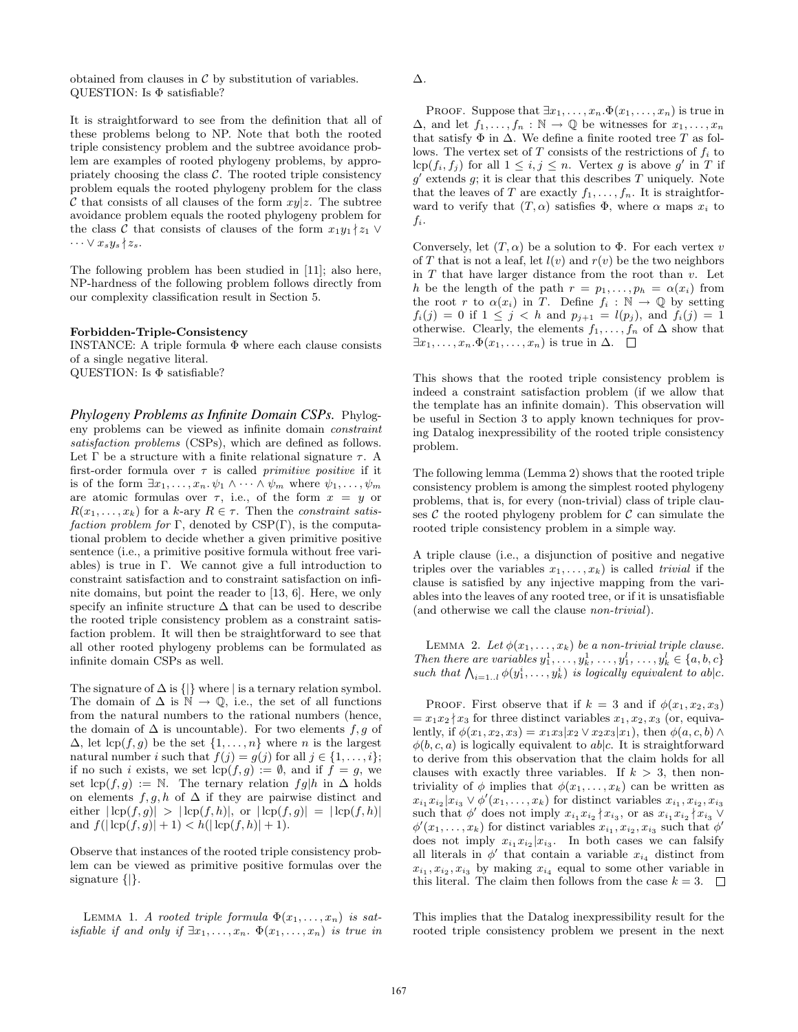obtained from clauses in  $\mathcal C$  by substitution of variables. QUESTION: Is  $\Phi$  satisfiable?

It is straightforward to see from the definition that all of these problems belong to NP. Note that both the rooted triple consistency problem and the subtree avoidance problem are examples of rooted phylogeny problems, by appropriately choosing the class  $C$ . The rooted triple consistency problem equals the rooted phylogeny problem for the class C that consists of all clauses of the form  $xy|z$ . The subtree avoidance problem equals the rooted phylogeny problem for the class C that consists of clauses of the form  $x_1y_1 \nmid z_1 \vee$  $\cdots \vee x_s y_s \nmid z_s$ .

The following problem has been studied in [11]; also here, NP-hardness of the following problem follows directly from our complexity classification result in Section 5.

#### Forbidden-Triple-Consistency

INSTANCE: A triple formula  $\Phi$  where each clause consists of a single negative literal. QUESTION: Is  $\Phi$  satisfiable?

*Phylogeny Problems as Infinite Domain CSPs.* Phylogeny problems can be viewed as infinite domain constraint satisfaction problems (CSPs), which are defined as follows. Let  $\Gamma$  be a structure with a finite relational signature  $\tau$ . A first-order formula over  $\tau$  is called *primitive positive* if it is of the form  $\exists x_1, \ldots, x_n, \psi_1 \wedge \cdots \wedge \psi_m$  where  $\psi_1, \ldots, \psi_m$ are atomic formulas over  $\tau$ , i.e., of the form  $x = y$  or  $R(x_1, \ldots, x_k)$  for a k-ary  $R \in \tau$ . Then the constraint satisfaction problem for  $\Gamma$ , denoted by CSP( $\Gamma$ ), is the computational problem to decide whether a given primitive positive sentence (i.e., a primitive positive formula without free variables) is true in Γ. We cannot give a full introduction to constraint satisfaction and to constraint satisfaction on infinite domains, but point the reader to [13, 6]. Here, we only specify an infinite structure  $\Delta$  that can be used to describe the rooted triple consistency problem as a constraint satisfaction problem. It will then be straightforward to see that all other rooted phylogeny problems can be formulated as infinite domain CSPs as well.

The signature of  $\Delta$  is  $\{|\}$  where  $|\$  is a ternary relation symbol. The domain of  $\Delta$  is  $\mathbb{N} \to \mathbb{Q}$ , i.e., the set of all functions from the natural numbers to the rational numbers (hence, the domain of  $\Delta$  is uncountable). For two elements f, q of  $\Delta$ , let lcp(f, g) be the set  $\{1, \ldots, n\}$  where n is the largest natural number i such that  $f(j) = g(j)$  for all  $j \in \{1, ..., i\}$ ; if no such i exists, we set  $lcp(f, g) := \emptyset$ , and if  $f = g$ , we set  $lcp(f, q) := \mathbb{N}$ . The ternary relation  $fq|h$  in  $\Delta$  holds on elements  $f, g, h$  of  $\Delta$  if they are pairwise distinct and either  $|\log(f, g)| > |\log(f, h)|$ , or  $|\log(f, g)| = |\log(f, h)|$ and  $f(|\operatorname{lep}(f, g)| + 1) < h(|\operatorname{lep}(f, h)| + 1)$ .

Observe that instances of the rooted triple consistency problem can be viewed as primitive positive formulas over the signature {|}.

LEMMA 1. A rooted triple formula  $\Phi(x_1, \ldots, x_n)$  is satisfiable if and only if  $\exists x_1, \ldots, x_n$ .  $\Phi(x_1, \ldots, x_n)$  is true in ∆.

PROOF. Suppose that  $\exists x_1, \ldots, x_n \cdot \Phi(x_1, \ldots, x_n)$  is true in  $\Delta$ , and let  $f_1, \ldots, f_n : \mathbb{N} \to \mathbb{Q}$  be witnesses for  $x_1, \ldots, x_n$ that satisfy  $\Phi$  in  $\Delta$ . We define a finite rooted tree T as follows. The vertex set of  $T$  consists of the restrictions of  $f_i$  to  $\operatorname{lcp}(f_i, f_j)$  for all  $1 \leq i, j \leq n$ . Vertex g is above g' in T if  $g'$  extends  $g$ ; it is clear that this describes T uniquely. Note that the leaves of T are exactly  $f_1, \ldots, f_n$ . It is straightforward to verify that  $(T, \alpha)$  satisfies  $\Phi$ , where  $\alpha$  maps  $x_i$  to  $f_i$ .

Conversely, let  $(T, \alpha)$  be a solution to  $\Phi$ . For each vertex v of T that is not a leaf, let  $l(v)$  and  $r(v)$  be the two neighbors in  $T$  that have larger distance from the root than  $v$ . Let h be the length of the path  $r = p_1, \ldots, p_h = \alpha(x_i)$  from the root r to  $\alpha(x_i)$  in T. Define  $f_i : \mathbb{N} \to \mathbb{Q}$  by setting  $f_i(j) = 0$  if  $1 \leq j < h$  and  $p_{j+1} = l(p_j)$ , and  $f_i(j) = 1$ otherwise. Clearly, the elements  $f_1, \ldots, f_n$  of  $\Delta$  show that  $\exists x_1, \ldots, x_n.\Phi(x_1, \ldots, x_n)$  is true in  $\Delta$ .  $\Box$ 

This shows that the rooted triple consistency problem is indeed a constraint satisfaction problem (if we allow that the template has an infinite domain). This observation will be useful in Section 3 to apply known techniques for proving Datalog inexpressibility of the rooted triple consistency problem.

The following lemma (Lemma 2) shows that the rooted triple consistency problem is among the simplest rooted phylogeny problems, that is, for every (non-trivial) class of triple clauses  $\mathcal C$  the rooted phylogeny problem for  $\mathcal C$  can simulate the rooted triple consistency problem in a simple way.

A triple clause (i.e., a disjunction of positive and negative triples over the variables  $x_1, \ldots, x_k$  is called *trivial* if the clause is satisfied by any injective mapping from the variables into the leaves of any rooted tree, or if it is unsatisfiable (and otherwise we call the clause non-trivial).

LEMMA 2. Let  $\phi(x_1, \ldots, x_k)$  be a non-trivial triple clause. Then there are variables  $y_1^1, \ldots, y_k^l, \ldots, y_1^l, \ldots, y_k^l \in \{a, b, c\}$ such that  $\bigwedge_{i=1..l} \phi(y_1^i, \ldots, y_k^i)$  is logically equivalent to ab|c.

PROOF. First observe that if  $k = 3$  and if  $\phi(x_1, x_2, x_3)$  $= x_1x_2 \, x_3$  for three distinct variables  $x_1, x_2, x_3$  (or, equivalently, if  $\phi(x_1, x_2, x_3) = x_1x_3|x_2 \vee x_2x_3|x_1|$ , then  $\phi(a, c, b) \wedge$  $\phi(b, c, a)$  is logically equivalent to ab|c. It is straightforward to derive from this observation that the claim holds for all clauses with exactly three variables. If  $k > 3$ , then nontriviality of  $\phi$  implies that  $\phi(x_1, \ldots, x_k)$  can be written as  $x_{i_1}x_{i_2}|x_{i_3} \vee \phi'(x_1,\ldots,x_k)$  for distinct variables  $x_{i_1}, x_{i_2}, x_{i_3}$ such that  $\phi'$  does not imply  $x_{i_1}x_{i_2}$  { $x_{i_3}$ , or as  $x_{i_1}x_{i_2}$  { $x_{i_3}$   $\vee$  $\phi'(x_1,\ldots,x_k)$  for distinct variables  $x_{i_1}, x_{i_2}, x_{i_3}$  such that  $\phi'$ does not imply  $x_{i_1}x_{i_2}|x_{i_3}$ . In both cases we can falsify all literals in  $\phi'$  that contain a variable  $x_{i_4}$  distinct from  $x_{i_1}, x_{i_2}, x_{i_3}$  by making  $x_{i_4}$  equal to some other variable in this literal. The claim then follows from the case  $k = 3$ .  $\Box$ 

This implies that the Datalog inexpressibility result for the rooted triple consistency problem we present in the next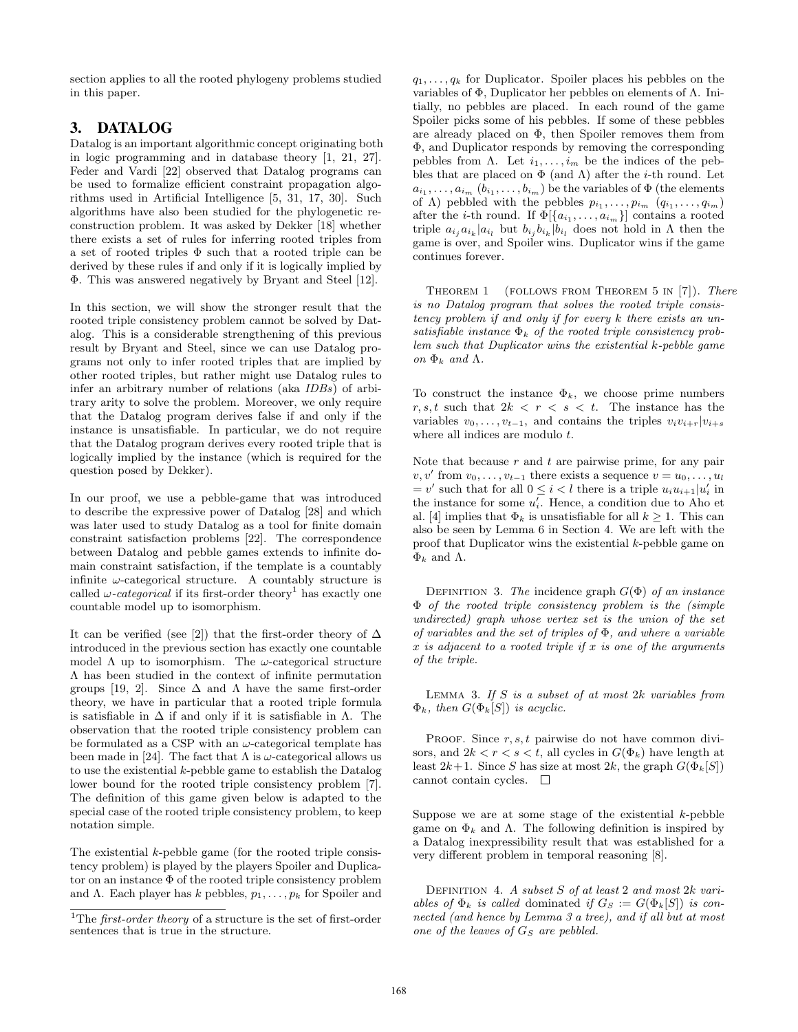section applies to all the rooted phylogeny problems studied in this paper.

# 3. DATALOG

Datalog is an important algorithmic concept originating both in logic programming and in database theory [1, 21, 27]. Feder and Vardi [22] observed that Datalog programs can be used to formalize efficient constraint propagation algorithms used in Artificial Intelligence [5, 31, 17, 30]. Such algorithms have also been studied for the phylogenetic reconstruction problem. It was asked by Dekker [18] whether there exists a set of rules for inferring rooted triples from a set of rooted triples Φ such that a rooted triple can be derived by these rules if and only if it is logically implied by Φ. This was answered negatively by Bryant and Steel [12].

In this section, we will show the stronger result that the rooted triple consistency problem cannot be solved by Datalog. This is a considerable strengthening of this previous result by Bryant and Steel, since we can use Datalog programs not only to infer rooted triples that are implied by other rooted triples, but rather might use Datalog rules to infer an arbitrary number of relations (aka IDBs) of arbitrary arity to solve the problem. Moreover, we only require that the Datalog program derives false if and only if the instance is unsatisfiable. In particular, we do not require that the Datalog program derives every rooted triple that is logically implied by the instance (which is required for the question posed by Dekker).

In our proof, we use a pebble-game that was introduced to describe the expressive power of Datalog [28] and which was later used to study Datalog as a tool for finite domain constraint satisfaction problems [22]. The correspondence between Datalog and pebble games extends to infinite domain constraint satisfaction, if the template is a countably infinite  $\omega$ -categorical structure. A countably structure is called  $\omega$ -categorical if its first-order theory<sup>1</sup> has exactly one countable model up to isomorphism.

It can be verified (see [2]) that the first-order theory of  $\Delta$ introduced in the previous section has exactly one countable model  $\Lambda$  up to isomorphism. The  $\omega$ -categorical structure Λ has been studied in the context of infinite permutation groups [19, 2]. Since  $\Delta$  and  $\Lambda$  have the same first-order theory, we have in particular that a rooted triple formula is satisfiable in  $\Delta$  if and only if it is satisfiable in  $\Lambda$ . The observation that the rooted triple consistency problem can be formulated as a CSP with an  $\omega$ -categorical template has been made in [24]. The fact that  $\Lambda$  is  $\omega$ -categorical allows us to use the existential  $k$ -pebble game to establish the Datalog lower bound for the rooted triple consistency problem [7]. The definition of this game given below is adapted to the special case of the rooted triple consistency problem, to keep notation simple.

The existential  $k$ -pebble game (for the rooted triple consistency problem) is played by the players Spoiler and Duplicator on an instance Φ of the rooted triple consistency problem and Λ. Each player has k pebbles,  $p_1, \ldots, p_k$  for Spoiler and  $q_1, \ldots, q_k$  for Duplicator. Spoiler places his pebbles on the variables of Φ, Duplicator her pebbles on elements of Λ. Initially, no pebbles are placed. In each round of the game Spoiler picks some of his pebbles. If some of these pebbles are already placed on Φ, then Spoiler removes them from Φ, and Duplicator responds by removing the corresponding pebbles from  $\Lambda$ . Let  $i_1, \ldots, i_m$  be the indices of the pebbles that are placed on  $\Phi$  (and  $\Lambda$ ) after the *i*-th round. Let  $a_{i_1}, \ldots, a_{i_m}$   $(b_{i_1}, \ldots, b_{i_m})$  be the variables of  $\Phi$  (the elements of  $\Lambda$ ) pebbled with the pebbles  $p_{i_1}, \ldots, p_{i_m}$   $(q_{i_1}, \ldots, q_{i_m})$ after the *i*-th round. If  $\Phi[\{a_{i_1}, \ldots, a_{i_m}\}]$  contains a rooted triple  $a_{i_j}a_{i_k}$  a<sub>il</sub> but  $b_{i_j}b_{i_k}$  b<sub>il</sub> does not hold in  $\Lambda$  then the game is over, and Spoiler wins. Duplicator wins if the game continues forever.

Theorem 1 (follows from Theorem 5 in [7]). There is no Datalog program that solves the rooted triple consistency problem if and only if for every k there exists an unsatisfiable instance  $\Phi_k$  of the rooted triple consistency problem such that Duplicator wins the existential k-pebble game on  $\Phi_k$  and  $\Lambda$ .

To construct the instance  $\Phi_k$ , we choose prime numbers  $r, s, t$  such that  $2k < r < s < t$ . The instance has the variables  $v_0, \ldots, v_{t-1}$ , and contains the triples  $v_i v_{i+r} | v_{i+s}$ where all indices are modulo  $t$ .

Note that because  $r$  and  $t$  are pairwise prime, for any pair  $v, v'$  from  $v_0, \ldots, v_{t-1}$  there exists a sequence  $v = u_0, \ldots, u_l$  $= v'$  such that for all  $0 \leq i < l$  there is a triple  $u_i u_{i+1} | u'_i$  in the instance for some  $u'_i$ . Hence, a condition due to Aho et al. [4] implies that  $\Phi_k$  is unsatisfiable for all  $k \geq 1$ . This can also be seen by Lemma 6 in Section 4. We are left with the proof that Duplicator wins the existential k-pebble game on  $\Phi_k$  and  $\Lambda$ .

DEFINITION 3. The incidence graph  $G(\Phi)$  of an instance Φ of the rooted triple consistency problem is the (simple undirected) graph whose vertex set is the union of the set of variables and the set of triples of Φ, and where a variable  $x$  is adjacent to a rooted triple if  $x$  is one of the arguments of the triple.

LEMMA 3. If  $S$  is a subset of at most  $2k$  variables from  $\Phi_k$ , then  $G(\Phi_k[S])$  is acyclic.

PROOF. Since  $r, s, t$  pairwise do not have common divisors, and  $2k < r < s < t$ , all cycles in  $G(\Phi_k)$  have length at least  $2k+1$ . Since S has size at most  $2k$ , the graph  $G(\Phi_k[S])$ cannot contain cycles.  $\square$ 

Suppose we are at some stage of the existential  $k$ -pebble game on  $\Phi_k$  and  $\Lambda$ . The following definition is inspired by a Datalog inexpressibility result that was established for a very different problem in temporal reasoning [8].

DEFINITION 4. A subset S of at least 2 and most  $2k$  variables of  $\Phi_k$  is called dominated if  $G_S := G(\Phi_k[S])$  is connected (and hence by Lemma 3 a tree), and if all but at most one of the leaves of  $G_S$  are pebbled.

<sup>&</sup>lt;sup>1</sup>The *first-order theory* of a structure is the set of first-order sentences that is true in the structure.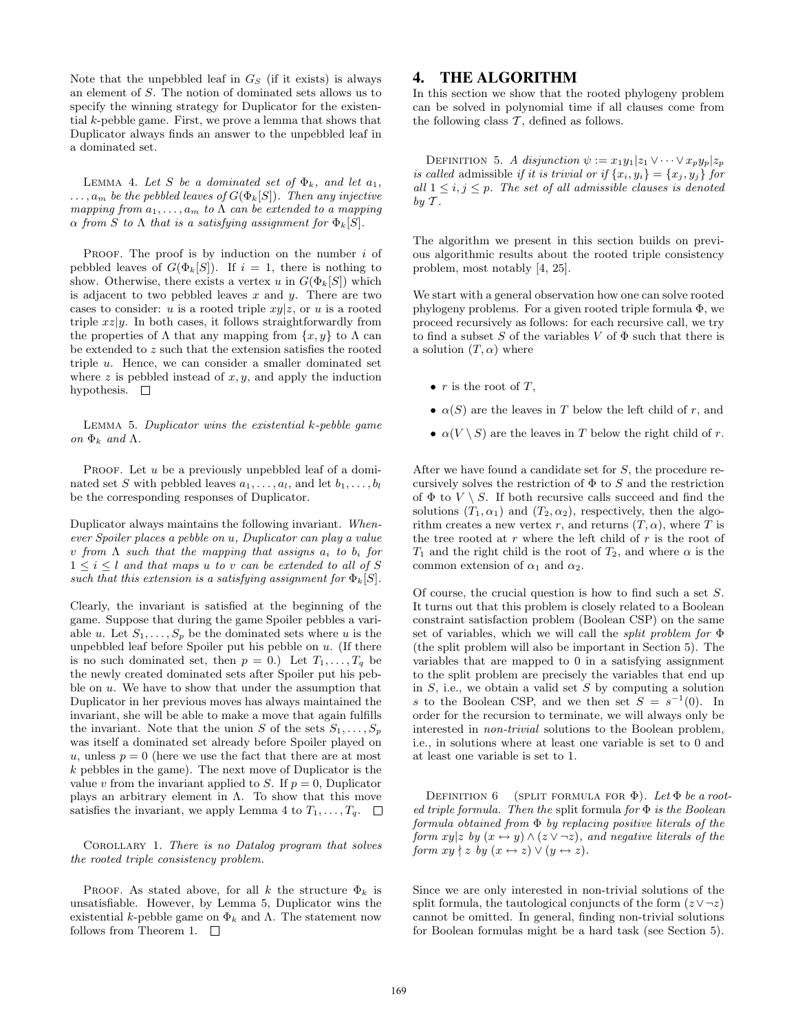Note that the unpebbled leaf in  $G<sub>S</sub>$  (if it exists) is always an element of S. The notion of dominated sets allows us to specify the winning strategy for Duplicator for the existential  $k$ -pebble game. First, we prove a lemma that shows that Duplicator always finds an answer to the unpebbled leaf in a dominated set.

LEMMA 4. Let S be a dominated set of  $\Phi_k$ , and let  $a_1$ ,  $\ldots$ ,  $a_m$  be the pebbled leaves of  $G(\Phi_k[S])$ . Then any injective mapping from  $a_1, \ldots, a_m$  to  $\Lambda$  can be extended to a mapping  $\alpha$  from S to  $\Lambda$  that is a satisfying assignment for  $\Phi_k[S]$ .

PROOF. The proof is by induction on the number  $i$  of pebbled leaves of  $G(\Phi_k[S])$ . If  $i = 1$ , there is nothing to show. Otherwise, there exists a vertex u in  $G(\Phi_k[S])$  which is adjacent to two pebbled leaves  $x$  and  $y$ . There are two cases to consider: u is a rooted triple  $xy|z$ , or u is a rooted triple  $xz|y$ . In both cases, it follows straightforwardly from the properties of  $\Lambda$  that any mapping from  $\{x, y\}$  to  $\Lambda$  can be extended to z such that the extension satisfies the rooted triple u. Hence, we can consider a smaller dominated set where  $z$  is pebbled instead of  $x, y$ , and apply the induction hypothesis.  $\square$ 

Lemma 5. Duplicator wins the existential k-pebble game on  $\Phi_k$  and  $\Lambda$ .

PROOF. Let  $u$  be a previously unpebbled leaf of a dominated set S with pebbled leaves  $a_1, \ldots, a_l$ , and let  $b_1, \ldots, b_l$ be the corresponding responses of Duplicator.

Duplicator always maintains the following invariant. Whenever Spoiler places a pebble on u, Duplicator can play a value v from  $\Lambda$  such that the mapping that assigns  $a_i$  to  $b_i$  for  $1 \leq i \leq l$  and that maps u to v can be extended to all of S such that this extension is a satisfying assignment for  $\Phi_k[S]$ .

Clearly, the invariant is satisfied at the beginning of the game. Suppose that during the game Spoiler pebbles a variable u. Let  $S_1, \ldots, S_p$  be the dominated sets where u is the unpebbled leaf before Spoiler put his pebble on  $u$ . (If there is no such dominated set, then  $p = 0$ .) Let  $T_1, \ldots, T_q$  be the newly created dominated sets after Spoiler put his pebble on  $u$ . We have to show that under the assumption that Duplicator in her previous moves has always maintained the invariant, she will be able to make a move that again fulfills the invariant. Note that the union S of the sets  $S_1, \ldots, S_p$ was itself a dominated set already before Spoiler played on u, unless  $p = 0$  (here we use the fact that there are at most k pebbles in the game). The next move of Duplicator is the value v from the invariant applied to S. If  $p = 0$ , Duplicator plays an arbitrary element in  $\Lambda$ . To show that this move satisfies the invariant, we apply Lemma 4 to  $T_1, \ldots, T_q$ .  $\Box$ 

Corollary 1. There is no Datalog program that solves the rooted triple consistency problem.

PROOF. As stated above, for all k the structure  $\Phi_k$  is unsatisfiable. However, by Lemma 5, Duplicator wins the existential k-pebble game on  $\Phi_k$  and  $\Lambda$ . The statement now follows from Theorem 1.  $\Box$ 

## 4. THE ALGORITHM

In this section we show that the rooted phylogeny problem can be solved in polynomial time if all clauses come from the following class  $\mathcal{T}$ , defined as follows.

DEFINITION 5. A disjunction  $\psi := x_1y_1|z_1 \vee \cdots \vee x_py_p|z_p$ is called admissible if it is trivial or if  $\{x_i, y_i\} = \{x_j, y_j\}$  for all  $1 \leq i, j \leq p$ . The set of all admissible clauses is denoted  $by \mathcal{T}$ .

The algorithm we present in this section builds on previous algorithmic results about the rooted triple consistency problem, most notably [4, 25].

We start with a general observation how one can solve rooted phylogeny problems. For a given rooted triple formula Φ, we proceed recursively as follows: for each recursive call, we try to find a subset S of the variables V of  $\Phi$  such that there is a solution  $(T, \alpha)$  where

- $r$  is the root of  $T$ ,
- $\alpha(S)$  are the leaves in T below the left child of r, and
- $\alpha(V \setminus S)$  are the leaves in T below the right child of r.

After we have found a candidate set for S, the procedure recursively solves the restriction of  $\Phi$  to S and the restriction of  $\Phi$  to  $V \setminus S$ . If both recursive calls succeed and find the solutions  $(T_1, \alpha_1)$  and  $(T_2, \alpha_2)$ , respectively, then the algorithm creates a new vertex r, and returns  $(T, \alpha)$ , where T is the tree rooted at  $r$  where the left child of  $r$  is the root of  $T_1$  and the right child is the root of  $T_2$ , and where  $\alpha$  is the common extension of  $\alpha_1$  and  $\alpha_2$ .

Of course, the crucial question is how to find such a set S. It turns out that this problem is closely related to a Boolean constraint satisfaction problem (Boolean CSP) on the same set of variables, which we will call the *split problem for*  $\Phi$ (the split problem will also be important in Section 5). The variables that are mapped to 0 in a satisfying assignment to the split problem are precisely the variables that end up in  $S$ , i.e., we obtain a valid set  $S$  by computing a solution s to the Boolean CSP, and we then set  $S = s^{-1}(0)$ . In order for the recursion to terminate, we will always only be interested in non-trivial solutions to the Boolean problem, i.e., in solutions where at least one variable is set to 0 and at least one variable is set to 1.

DEFINITION 6 (SPLIT FORMULA FOR  $\Phi$ ). Let  $\Phi$  be a rooted triple formula. Then the split formula for  $\Phi$  is the Boolean formula obtained from Φ by replacing positive literals of the form  $xy|z$  by  $(x \leftrightarrow y) \land (z \lor \neg z)$ , and negative literals of the form  $xy \nmid z$  by  $(x \leftrightarrow z) \vee (y \leftrightarrow z)$ .

Since we are only interested in non-trivial solutions of the split formula, the tautological conjuncts of the form  $(z \vee \neg z)$ cannot be omitted. In general, finding non-trivial solutions for Boolean formulas might be a hard task (see Section 5).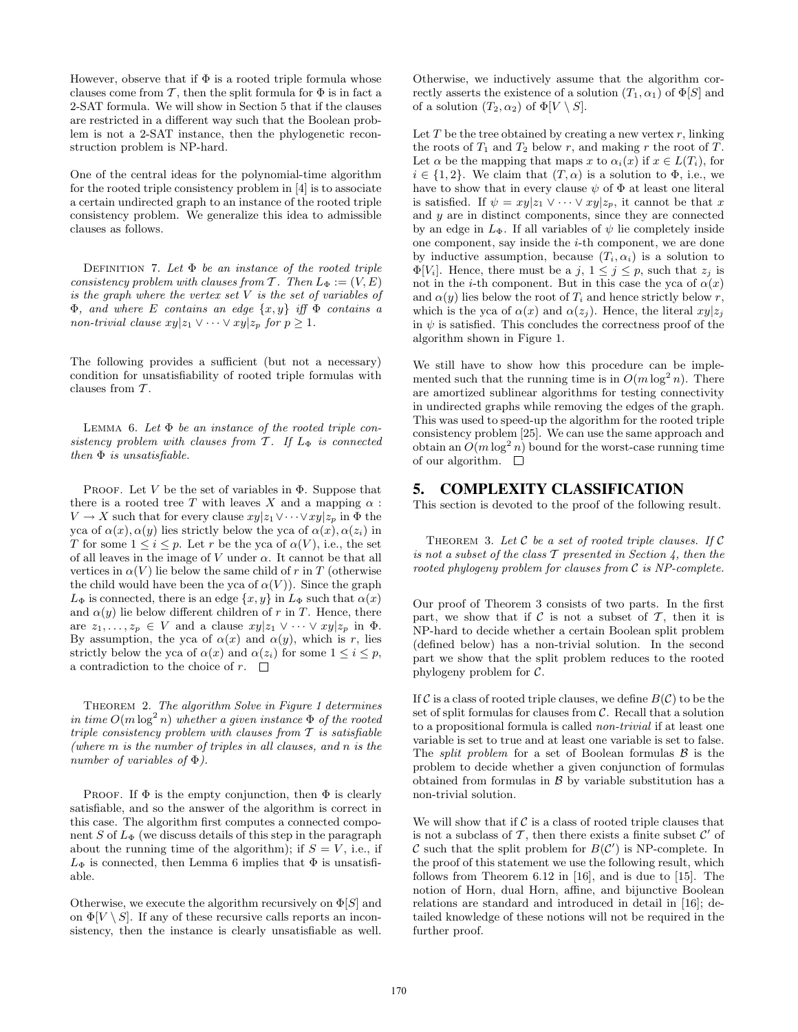However, observe that if  $\Phi$  is a rooted triple formula whose clauses come from  $\mathcal T$ , then the split formula for  $\Phi$  is in fact a 2-SAT formula. We will show in Section 5 that if the clauses are restricted in a different way such that the Boolean problem is not a 2-SAT instance, then the phylogenetic reconstruction problem is NP-hard.

One of the central ideas for the polynomial-time algorithm for the rooted triple consistency problem in [4] is to associate a certain undirected graph to an instance of the rooted triple consistency problem. We generalize this idea to admissible clauses as follows.

DEFINITION 7. Let  $\Phi$  be an instance of the rooted triple consistency problem with clauses from T. Then  $L_{\Phi} := (V, E)$ is the graph where the vertex set  $V$  is the set of variables of  $\Phi$ , and where E contains an edge  $\{x, y\}$  iff  $\Phi$  contains a non-trivial clause  $xy|z_1 \vee \cdots \vee xy|z_p$  for  $p \geq 1$ .

The following provides a sufficient (but not a necessary) condition for unsatisfiability of rooted triple formulas with clauses from  $T$ .

LEMMA 6. Let  $\Phi$  be an instance of the rooted triple consistency problem with clauses from  $\mathcal{T}$ . If  $L_{\Phi}$  is connected then  $\Phi$  is unsatisfiable.

PROOF. Let V be the set of variables in  $\Phi$ . Suppose that there is a rooted tree T with leaves X and a mapping  $\alpha$ :  $V \to X$  such that for every clause  $xy|z_1 \vee \cdots \vee xy|z_p$  in  $\Phi$  the yca of  $\alpha(x)$ ,  $\alpha(y)$  lies strictly below the yca of  $\alpha(x)$ ,  $\alpha(z_i)$  in T for some  $1 \leq i \leq p$ . Let r be the yca of  $\alpha(V)$ , i.e., the set of all leaves in the image of  $V$  under  $\alpha$ . It cannot be that all vertices in  $\alpha(V)$  lie below the same child of r in T (otherwise the child would have been the yca of  $\alpha(V)$ ). Since the graph  $L_{\Phi}$  is connected, there is an edge  $\{x, y\}$  in  $L_{\Phi}$  such that  $\alpha(x)$ and  $\alpha(y)$  lie below different children of r in T. Hence, there are  $z_1, \ldots, z_p \in V$  and a clause  $xy|z_1 \vee \cdots \vee xy|z_p$  in  $\Phi$ . By assumption, the yca of  $\alpha(x)$  and  $\alpha(y)$ , which is r, lies strictly below the yca of  $\alpha(x)$  and  $\alpha(z_i)$  for some  $1 \leq i \leq p$ , a contradiction to the choice of  $r$ .  $\Box$ 

Theorem 2. The algorithm Solve in Figure 1 determines in time  $O(m \log^2 n)$  whether a given instance  $\Phi$  of the rooted triple consistency problem with clauses from  $T$  is satisfiable (where m is the number of triples in all clauses, and n is the number of variables of Φ).

PROOF. If  $\Phi$  is the empty conjunction, then  $\Phi$  is clearly satisfiable, and so the answer of the algorithm is correct in this case. The algorithm first computes a connected component S of  $L_{\Phi}$  (we discuss details of this step in the paragraph about the running time of the algorithm); if  $S = V$ , i.e., if  $L_{\Phi}$  is connected, then Lemma 6 implies that  $\Phi$  is unsatisfiable.

Otherwise, we execute the algorithm recursively on  $\Phi[S]$  and on  $\Phi[V \setminus S]$ . If any of these recursive calls reports an inconsistency, then the instance is clearly unsatisfiable as well.

Otherwise, we inductively assume that the algorithm correctly asserts the existence of a solution  $(T_1, \alpha_1)$  of  $\Phi[S]$  and of a solution  $(T_2, \alpha_2)$  of  $\Phi[V \setminus S]$ .

Let  $T$  be the tree obtained by creating a new vertex  $r$ , linking the roots of  $T_1$  and  $T_2$  below r, and making r the root of T. Let  $\alpha$  be the mapping that maps x to  $\alpha_i(x)$  if  $x \in L(T_i)$ , for  $i \in \{1,2\}$ . We claim that  $(T,\alpha)$  is a solution to  $\Phi$ , i.e., we have to show that in every clause  $\psi$  of  $\Phi$  at least one literal is satisfied. If  $\psi = xy|z_1 \vee \cdots \vee xy|z_p$ , it cannot be that x and y are in distinct components, since they are connected by an edge in  $L_{\Phi}$ . If all variables of  $\psi$  lie completely inside one component, say inside the i-th component, we are done by inductive assumption, because  $(T_i, \alpha_i)$  is a solution to  $\Phi[V_i]$ . Hence, there must be a j,  $1 \leq j \leq p$ , such that  $z_j$  is not in the *i*-th component. But in this case the yca of  $\alpha(x)$ and  $\alpha(y)$  lies below the root of  $T_i$  and hence strictly below r, which is the yca of  $\alpha(x)$  and  $\alpha(z_i)$ . Hence, the literal  $xy|z_i$ in  $\psi$  is satisfied. This concludes the correctness proof of the algorithm shown in Figure 1.

We still have to show how this procedure can be implemented such that the running time is in  $O(m \log^2 n)$ . There are amortized sublinear algorithms for testing connectivity in undirected graphs while removing the edges of the graph. This was used to speed-up the algorithm for the rooted triple consistency problem [25]. We can use the same approach and obtain an  $O(m \log^2 n)$  bound for the worst-case running time of our algorithm.  $\square$ 

# 5. COMPLEXITY CLASSIFICATION

This section is devoted to the proof of the following result.

THEOREM 3. Let  $C$  be a set of rooted triple clauses. If  $C$ is not a subset of the class  $\mathcal T$  presented in Section 4, then the rooted phylogeny problem for clauses from  $C$  is NP-complete.

Our proof of Theorem 3 consists of two parts. In the first part, we show that if  $\mathcal C$  is not a subset of  $\mathcal T$ , then it is NP-hard to decide whether a certain Boolean split problem (defined below) has a non-trivial solution. In the second part we show that the split problem reduces to the rooted phylogeny problem for C.

If C is a class of rooted triple clauses, we define  $B(\mathcal{C})$  to be the set of split formulas for clauses from C. Recall that a solution to a propositional formula is called non-trivial if at least one variable is set to true and at least one variable is set to false. The *split problem* for a set of Boolean formulas  $\beta$  is the problem to decide whether a given conjunction of formulas obtained from formulas in  $\beta$  by variable substitution has a non-trivial solution.

We will show that if  $\mathcal C$  is a class of rooted triple clauses that is not a subclass of T, then there exists a finite subset  $\mathcal{C}'$  of C such that the split problem for  $B(\mathcal{C}')$  is NP-complete. In the proof of this statement we use the following result, which follows from Theorem 6.12 in [16], and is due to [15]. The notion of Horn, dual Horn, affine, and bijunctive Boolean relations are standard and introduced in detail in [16]; detailed knowledge of these notions will not be required in the further proof.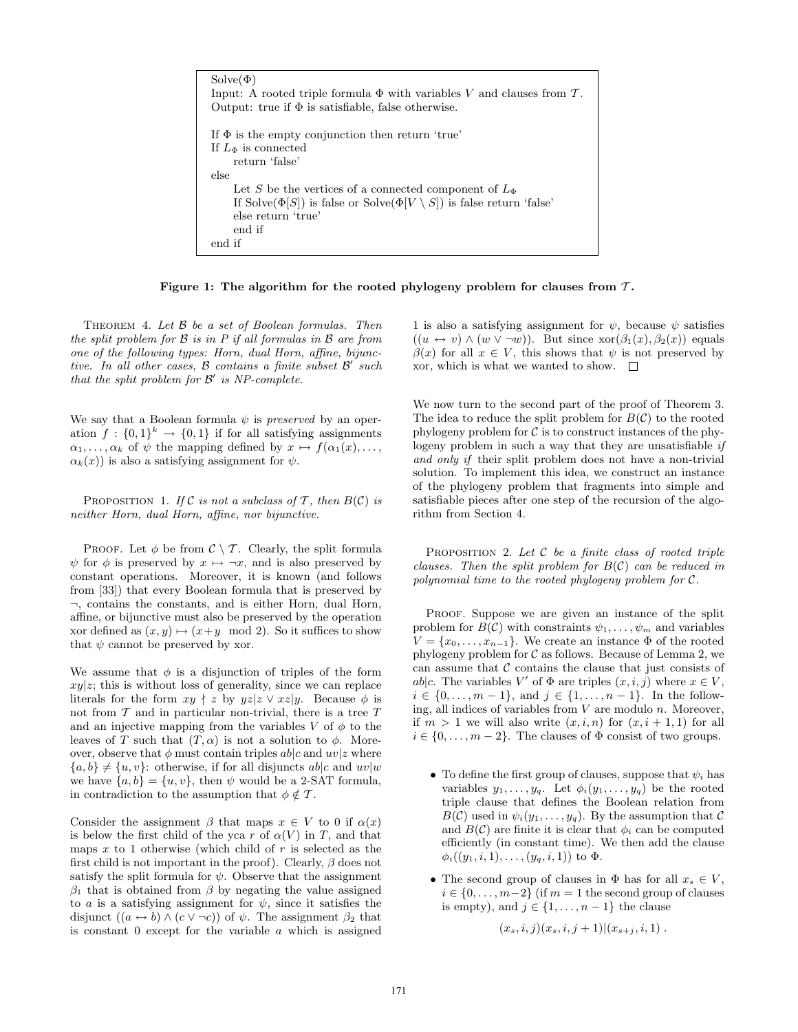| $Solve(\Phi)$                                                                          |
|----------------------------------------------------------------------------------------|
| Input: A rooted triple formula $\Phi$ with variables V and clauses from T.             |
| Output: true if $\Phi$ is satisfiable, false otherwise.                                |
|                                                                                        |
| If $\Phi$ is the empty conjunction then return 'true'                                  |
| If $L_{\Phi}$ is connected                                                             |
| return 'false'                                                                         |
| else                                                                                   |
| Let S be the vertices of a connected component of $L_{\Phi}$                           |
| If Solve $(\Phi[S])$ is false or Solve $(\Phi[V \setminus S])$ is false return 'false' |
| else return 'true'                                                                     |
| end if                                                                                 |
| end if                                                                                 |
|                                                                                        |

Figure 1: The algorithm for the rooted phylogeny problem for clauses from  $T$ .

THEOREM 4. Let  $\beta$  be a set of Boolean formulas. Then the split problem for  $\beta$  is in P if all formulas in  $\beta$  are from one of the following types: Horn, dual Horn, affine, bijunctive. In all other cases,  $\beta$  contains a finite subset  $\beta'$  such that the split problem for  $\mathcal{B}'$  is NP-complete.

We say that a Boolean formula  $\psi$  is preserved by an operation  $f: \{0,1\}^k \to \{0,1\}$  if for all satisfying assignments  $\alpha_1, \ldots, \alpha_k$  of  $\psi$  the mapping defined by  $x \mapsto f(\alpha_1(x), \ldots, \alpha_k)$  $\alpha_k(x)$ ) is also a satisfying assignment for  $\psi$ .

PROPOSITION 1. If C is not a subclass of T, then  $B(\mathcal{C})$  is neither Horn, dual Horn, affine, nor bijunctive.

PROOF. Let  $\phi$  be from  $\mathcal{C} \setminus \mathcal{T}$ . Clearly, the split formula  $\psi$  for  $\phi$  is preserved by  $x \mapsto \neg x$ , and is also preserved by constant operations. Moreover, it is known (and follows from [33]) that every Boolean formula that is preserved by ¬, contains the constants, and is either Horn, dual Horn, affine, or bijunctive must also be preserved by the operation xor defined as  $(x, y) \mapsto (x+y \mod 2)$ . So it suffices to show that  $\psi$  cannot be preserved by xor.

We assume that  $\phi$  is a disjunction of triples of the form  $xy|z$ ; this is without loss of generality, since we can replace literals for the form  $xy \nmid z$  by  $yz|z \vee xz|y$ . Because  $\phi$  is not from  $T$  and in particular non-trivial, there is a tree  $T$ and an injective mapping from the variables V of  $\phi$  to the leaves of T such that  $(T, \alpha)$  is not a solution to  $\phi$ . Moreover, observe that  $\phi$  must contain triples  $ab|c$  and  $uv|z$  where  ${a, b} \neq {u, v}$ : otherwise, if for all disjuncts ab|c and  $uv|w$ we have  $\{a, b\} = \{u, v\}$ , then  $\psi$  would be a 2-SAT formula, in contradiction to the assumption that  $\phi \notin \mathcal{T}$ .

Consider the assignment  $\beta$  that maps  $x \in V$  to 0 if  $\alpha(x)$ is below the first child of the yca r of  $\alpha(V)$  in T, and that maps  $x$  to 1 otherwise (which child of  $r$  is selected as the first child is not important in the proof). Clearly,  $\beta$  does not satisfy the split formula for  $\psi$ . Observe that the assignment  $β_1$  that is obtained from  $β$  by negating the value assigned to a is a satisfying assignment for  $\psi$ , since it satisfies the disjunct  $((a \leftrightarrow b) \land (c \lor \neg c))$  of  $\psi$ . The assignment  $\beta_2$  that is constant  $0$  except for the variable  $a$  which is assigned 1 is also a satisfying assignment for  $\psi$ , because  $\psi$  satisfies  $((u \leftrightarrow v) \land (w \lor \neg w))$ . But since  $\mathrm{xor}(\beta_1(x), \beta_2(x))$  equals  $\beta(x)$  for all  $x \in V$ , this shows that  $\psi$  is not preserved by xor, which is what we wanted to show.  $\square$ 

We now turn to the second part of the proof of Theorem 3. The idea to reduce the split problem for  $B(\mathcal{C})$  to the rooted phylogeny problem for  $\mathcal C$  is to construct instances of the phylogeny problem in such a way that they are unsatisfiable if and only if their split problem does not have a non-trivial solution. To implement this idea, we construct an instance of the phylogeny problem that fragments into simple and satisfiable pieces after one step of the recursion of the algorithm from Section 4.

PROPOSITION 2. Let  $C$  be a finite class of rooted triple clauses. Then the split problem for  $B(\mathcal{C})$  can be reduced in polynomial time to the rooted phylogeny problem for C.

PROOF. Suppose we are given an instance of the split problem for  $B(\mathcal{C})$  with constraints  $\psi_1, \ldots, \psi_m$  and variables  $V = \{x_0, \ldots, x_{n-1}\}.$  We create an instance  $\Phi$  of the rooted phylogeny problem for  $\mathcal C$  as follows. Because of Lemma 2, we can assume that  $C$  contains the clause that just consists of ab|c. The variables V' of  $\Phi$  are triples  $(x, i, j)$  where  $x \in V$ ,  $i \in \{0, ..., m-1\}$ , and  $j \in \{1, ..., n-1\}$ . In the following, all indices of variables from  $V$  are modulo  $n$ . Moreover, if  $m > 1$  we will also write  $(x, i, n)$  for  $(x, i + 1, 1)$  for all  $i \in \{0, \ldots, m-2\}$ . The clauses of  $\Phi$  consist of two groups.

- To define the first group of clauses, suppose that  $\psi_i$  has variables  $y_1, \ldots, y_q$ . Let  $\phi_i(y_1, \ldots, y_q)$  be the rooted triple clause that defines the Boolean relation from  $B(\mathcal{C})$  used in  $\psi_i(y_1,\ldots,y_q)$ . By the assumption that  $\mathcal C$ and  $B(\mathcal{C})$  are finite it is clear that  $\phi_i$  can be computed efficiently (in constant time). We then add the clause  $\phi_i((y_1, i, 1), \ldots, (y_q, i, 1))$  to  $\Phi$ .
- The second group of clauses in  $\Phi$  has for all  $x_s \in V$ ,  $i \in \{0, \ldots, m-2\}$  (if  $m = 1$  the second group of clauses is empty), and  $j \in \{1, \ldots, n-1\}$  the clause

$$
(x_s, i, j)(x_s, i, j + 1)|(x_{s+j}, i, 1)
$$
.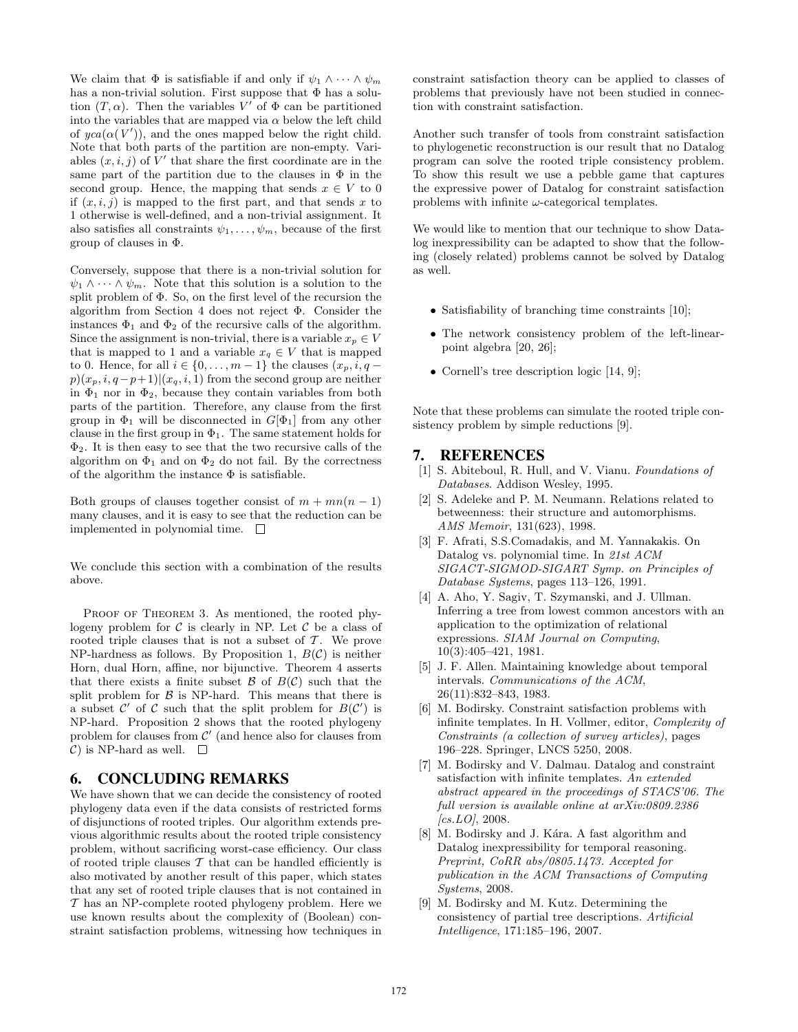We claim that  $\Phi$  is satisfiable if and only if  $\psi_1 \wedge \cdots \wedge \psi_m$ has a non-trivial solution. First suppose that  $\Phi$  has a solution  $(T, \alpha)$ . Then the variables V' of  $\Phi$  can be partitioned into the variables that are mapped via  $\alpha$  below the left child of  $yca(\alpha(V'))$ , and the ones mapped below the right child. Note that both parts of the partition are non-empty. Variables  $(x, i, j)$  of  $\overline{V}'$  that share the first coordinate are in the same part of the partition due to the clauses in  $\Phi$  in the second group. Hence, the mapping that sends  $x \in V$  to 0 if  $(x, i, j)$  is mapped to the first part, and that sends x to 1 otherwise is well-defined, and a non-trivial assignment. It also satisfies all constraints  $\psi_1, \ldots, \psi_m$ , because of the first group of clauses in Φ.

Conversely, suppose that there is a non-trivial solution for  $\psi_1 \wedge \cdots \wedge \psi_m$ . Note that this solution is a solution to the split problem of Φ. So, on the first level of the recursion the algorithm from Section 4 does not reject Φ. Consider the instances  $\Phi_1$  and  $\Phi_2$  of the recursive calls of the algorithm. Since the assignment is non-trivial, there is a variable  $x_p \in V$ that is mapped to 1 and a variable  $x_q \in V$  that is mapped to 0. Hence, for all  $i \in \{0, \ldots, m-1\}$  the clauses  $(x_p, i, q$  $p(x_p, i, q-p+1)|(x_q, i, 1)$  from the second group are neither in  $\Phi_1$  nor in  $\Phi_2$ , because they contain variables from both parts of the partition. Therefore, any clause from the first group in  $\Phi_1$  will be disconnected in  $G[\Phi_1]$  from any other clause in the first group in  $\Phi_1$ . The same statement holds for  $\Phi_2$ . It is then easy to see that the two recursive calls of the algorithm on  $\Phi_1$  and on  $\Phi_2$  do not fail. By the correctness of the algorithm the instance  $\Phi$  is satisfiable.

Both groups of clauses together consist of  $m + mn(n - 1)$ many clauses, and it is easy to see that the reduction can be implemented in polynomial time.  $\square$ 

We conclude this section with a combination of the results above.

PROOF OF THEOREM 3. As mentioned, the rooted phylogeny problem for  $\mathcal C$  is clearly in NP. Let  $\mathcal C$  be a class of rooted triple clauses that is not a subset of  $T$ . We prove NP-hardness as follows. By Proposition 1,  $B(\mathcal{C})$  is neither Horn, dual Horn, affine, nor bijunctive. Theorem 4 asserts that there exists a finite subset  $\mathcal B$  of  $B(\mathcal C)$  such that the split problem for  $\beta$  is NP-hard. This means that there is a subset  $\mathcal{C}'$  of  $\mathcal C$  such that the split problem for  $B(\mathcal{C}')$  is NP-hard. Proposition 2 shows that the rooted phylogeny problem for clauses from  $\mathcal{C}'$  (and hence also for clauses from  $\mathcal{C}$ ) is NP-hard as well.  $\square$ 

## 6. CONCLUDING REMARKS

We have shown that we can decide the consistency of rooted phylogeny data even if the data consists of restricted forms of disjunctions of rooted triples. Our algorithm extends previous algorithmic results about the rooted triple consistency problem, without sacrificing worst-case efficiency. Our class of rooted triple clauses  $\mathcal T$  that can be handled efficiently is also motivated by another result of this paper, which states that any set of rooted triple clauses that is not contained in T has an NP-complete rooted phylogeny problem. Here we use known results about the complexity of (Boolean) constraint satisfaction problems, witnessing how techniques in

constraint satisfaction theory can be applied to classes of problems that previously have not been studied in connection with constraint satisfaction.

Another such transfer of tools from constraint satisfaction to phylogenetic reconstruction is our result that no Datalog program can solve the rooted triple consistency problem. To show this result we use a pebble game that captures the expressive power of Datalog for constraint satisfaction problems with infinite  $\omega$ -categorical templates.

We would like to mention that our technique to show Datalog inexpressibility can be adapted to show that the following (closely related) problems cannot be solved by Datalog as well.

- Satisfiability of branching time constraints [10];
- The network consistency problem of the left-linearpoint algebra [20, 26];
- Cornell's tree description logic [14, 9];

Note that these problems can simulate the rooted triple consistency problem by simple reductions [9].

### 7. REFERENCES

- [1] S. Abiteboul, R. Hull, and V. Vianu. Foundations of Databases. Addison Wesley, 1995.
- [2] S. Adeleke and P. M. Neumann. Relations related to betweenness: their structure and automorphisms. AMS Memoir, 131(623), 1998.
- [3] F. Afrati, S.S.Comadakis, and M. Yannakakis. On Datalog vs. polynomial time. In 21st ACM SIGACT-SIGMOD-SIGART Symp. on Principles of Database Systems, pages 113–126, 1991.
- [4] A. Aho, Y. Sagiv, T. Szymanski, and J. Ullman. Inferring a tree from lowest common ancestors with an application to the optimization of relational expressions. SIAM Journal on Computing, 10(3):405–421, 1981.
- [5] J. F. Allen. Maintaining knowledge about temporal intervals. Communications of the ACM, 26(11):832–843, 1983.
- [6] M. Bodirsky. Constraint satisfaction problems with infinite templates. In H. Vollmer, editor, Complexity of Constraints (a collection of survey articles), pages 196–228. Springer, LNCS 5250, 2008.
- [7] M. Bodirsky and V. Dalmau. Datalog and constraint satisfaction with infinite templates. An extended abstract appeared in the proceedings of STACS'06. The full version is available online at arXiv:0809.2386  $[cs.LO]$ , 2008.
- [8] M. Bodirsky and J. Kára. A fast algorithm and Datalog inexpressibility for temporal reasoning. Preprint, CoRR abs/0805.1473. Accepted for publication in the ACM Transactions of Computing Systems, 2008.
- [9] M. Bodirsky and M. Kutz. Determining the consistency of partial tree descriptions. Artificial Intelligence, 171:185–196, 2007.